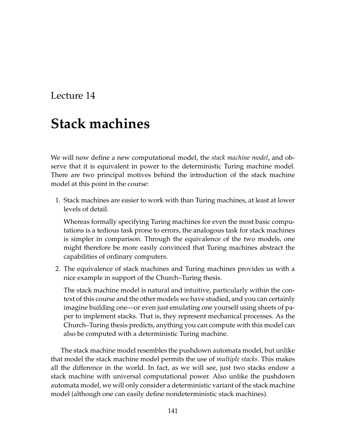## Lecture 14

# **Stack machines**

We will now define a new computational model, the *stack machine model*, and observe that it is equivalent in power to the deterministic Turing machine model. There are two principal motives behind the introduction of the stack machine model at this point in the course:

1. Stack machines are easier to work with than Turing machines, at least at lower levels of detail.

Whereas formally specifying Turing machines for even the most basic computations is a tedious task prone to errors, the analogous task for stack machines is simpler in comparison. Through the equivalence of the two models, one might therefore be more easily convinced that Turing machines abstract the capabilities of ordinary computers.

2. The equivalence of stack machines and Turing machines provides us with a nice example in support of the Church–Turing thesis.

The stack machine model is natural and intuitive, particularly within the context of this course and the other models we have studied, and you can certainly imagine building one—or even just emulating one yourself using sheets of paper to implement stacks. That is, they represent mechanical processes. As the Church–Turing thesis predicts, anything you can compute with this model can also be computed with a deterministic Turing machine.

The stack machine model resembles the pushdown automata model, but unlike that model the stack machine model permits the use of *multiple stacks*. This makes all the difference in the world. In fact, as we will see, just two stacks endow a stack machine with universal computational power. Also unlike the pushdown automata model, we will only consider a deterministic variant of the stack machine model (although one can easily define nondeterministic stack machines).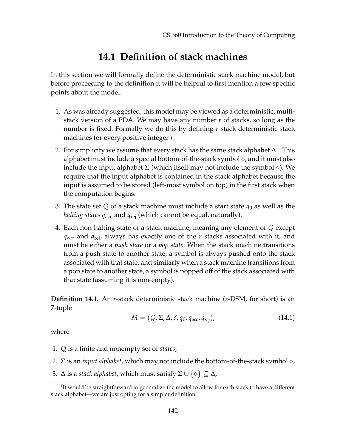## **14.1 Definition of stack machines**

In this section we will formally define the deterministic stack machine model, but before proceeding to the definition it will be helpful to first mention a few specific points about the model.

- 1. As was already suggested, this model may be viewed as a deterministic, multistack version of a PDA. We may have any number *r* of stacks, so long as the number is fixed. Formally we do this by defining *r*-stack deterministic stack machines for every positive integer *r*.
- 2. For simplicity we assume that every stack has the same stack alphabet  $\Delta .^1$  $\Delta .^1$  This alphabet must include a special bottom-of-the-stack symbol  $\diamond$ , and it must also include the input alphabet  $\Sigma$  (which itself may not include the symbol  $\diamond$ ). We require that the input alphabet is contained in the stack alphabet because the input is assumed to be stored (left-most symbol on top) in the first stack when the computation begins.
- 3. The state set  $Q$  of a stack machine must include a start state  $q_0$  as well as the *halting states q*acc and *q*rej (which cannot be equal, naturally).
- 4. Each non-halting state of a stack machine, meaning any element of *Q* except *q*acc and *q*rej, always has exactly one of the *r* stacks associated with it, and must be either a *push state* or a *pop state*. When the stack machine transitions from a push state to another state, a symbol is always pushed onto the stack associated with that state, and similarly when a stack machine transitions from a pop state to another state, a symbol is popped off of the stack associated with that state (assuming it is non-empty).

**Definition 14.1.** An *r*-stack deterministic stack machine (*r*-DSM, for short) is an 7-tuple

$$
M = (Q, \Sigma, \Delta, \delta, q_0, q_{acc}, q_{rej}), \qquad (14.1)
$$

where

- 1. *Q* is a finite and nonempty set of *states*,
- 2.  $\Sigma$  is an *input alphabet*, which may not include the bottom-of-the-stack symbol  $\diamond$ ,
- 3.  $\Delta$  is a *stack alphabet*, which must satisfy  $\Sigma \cup \{ \diamond \} \subseteq \Delta$ ,

<span id="page-1-0"></span> $1$ It would be straightforward to generalize the model to allow for each stack to have a different stack alphabet—we are just opting for a simpler definition.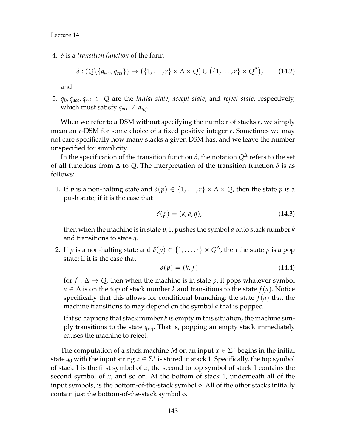4. *δ* is a *transition function* of the form

$$
\delta : (Q \setminus \{q_{acc}, q_{rej}\}) \to (\{1, \ldots, r\} \times \Delta \times Q) \cup (\{1, \ldots, r\} \times Q^{\Delta}), \qquad (14.2)
$$

and

5.  $q_0$ ,  $q_{acc}$ ,  $q_{rej} \in Q$  are the *initial state*, *accept state*, and *reject state*, respectively, which must satisfy  $q_{acc} \neq q_{rej}$ .

When we refer to a DSM without specifying the number of stacks *r*, we simply mean an *r*-DSM for some choice of a fixed positive integer *r*. Sometimes we may not care specifically how many stacks a given DSM has, and we leave the number unspecified for simplicity.

In the specification of the transition function  $\delta$ , the notation  $Q^{\Delta}$  refers to the set of all functions from  $\Delta$  to *Q*. The interpretation of the transition function  $\delta$  is as follows:

1. If *p* is a non-halting state and  $\delta(p) \in \{1, ..., r\} \times \Delta \times Q$ , then the state *p* is a push state; if it is the case that

$$
\delta(p) = (k, a, q), \tag{14.3}
$$

then when the machine is in state *p*, it pushes the symbol *a* onto stack number *k* and transitions to state *q*.

2. If *p* is a non-halting state and  $\delta(p) \in \{1, ..., r\} \times Q^{\Delta}$ , then the state *p* is a pop state; if it is the case that

$$
\delta(p) = (k, f) \tag{14.4}
$$

for  $f : \Delta \to Q$ , then when the machine is in state *p*, it pops whatever symbol *a* ∈ ∆ is on the top of stack number *k* and transitions to the state *f*(*a*). Notice specifically that this allows for conditional branching: the state  $f(a)$  that the machine transitions to may depend on the symbol *a* that is popped.

If it so happens that stack number *k* is empty in this situation, the machine simply transitions to the state *q*rej. That is, popping an empty stack immediately causes the machine to reject.

The computation of a stack machine *M* on an input  $x \in \Sigma^*$  begins in the initial state  $q_0$  with the input string  $x \in \Sigma^*$  is stored in stack 1. Specifically, the top symbol of stack 1 is the first symbol of *x*, the second to top symbol of stack 1 contains the second symbol of *x*, and so on. At the bottom of stack 1, underneath all of the input symbols, is the bottom-of-the-stack symbol  $\Diamond$ . All of the other stacks initially contain just the bottom-of-the-stack symbol  $\diamond$ .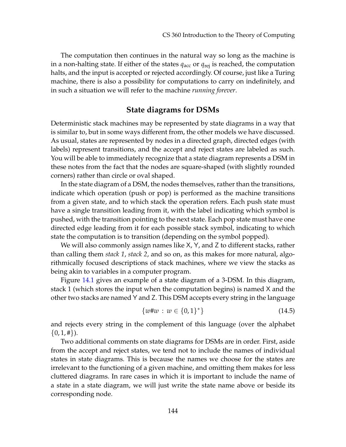The computation then continues in the natural way so long as the machine is in a non-halting state. If either of the states *q*acc or *q*rej is reached, the computation halts, and the input is accepted or rejected accordingly. Of course, just like a Turing machine, there is also a possibility for computations to carry on indefinitely, and in such a situation we will refer to the machine *running forever*.

#### **State diagrams for DSMs**

Deterministic stack machines may be represented by state diagrams in a way that is similar to, but in some ways different from, the other models we have discussed. As usual, states are represented by nodes in a directed graph, directed edges (with labels) represent transitions, and the accept and reject states are labeled as such. You will be able to immediately recognize that a state diagram represents a DSM in these notes from the fact that the nodes are square-shaped (with slightly rounded corners) rather than circle or oval shaped.

In the state diagram of a DSM, the nodes themselves, rather than the transitions, indicate which operation (push or pop) is performed as the machine transitions from a given state, and to which stack the operation refers. Each push state must have a single transition leading from it, with the label indicating which symbol is pushed, with the transition pointing to the next state. Each pop state must have one directed edge leading from it for each possible stack symbol, indicating to which state the computation is to transition (depending on the symbol popped).

We will also commonly assign names like X, Y, and Z to different stacks, rather than calling them *stack 1*, *stack 2*, and so on, as this makes for more natural, algorithmically focused descriptions of stack machines, where we view the stacks as being akin to variables in a computer program.

Figure [14.1](#page-4-0) gives an example of a state diagram of a 3-DSM. In this diagram, stack 1 (which stores the input when the computation begins) is named X and the other two stacks are named Y and Z. This DSM accepts every string in the language

$$
\{w \# w \, : \, w \in \{0, 1\}^*\} \tag{14.5}
$$

and rejects every string in the complement of this language (over the alphabet  $\{0, 1, \#\}.$ 

Two additional comments on state diagrams for DSMs are in order. First, aside from the accept and reject states, we tend not to include the names of individual states in state diagrams. This is because the names we choose for the states are irrelevant to the functioning of a given machine, and omitting them makes for less cluttered diagrams. In rare cases in which it is important to include the name of a state in a state diagram, we will just write the state name above or beside its corresponding node.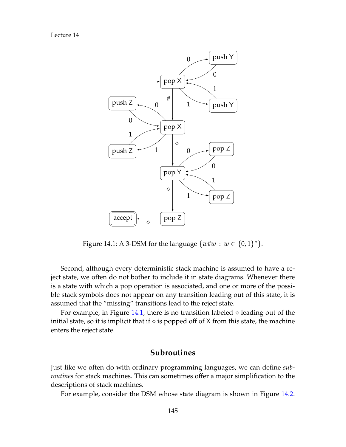Lecture 14



<span id="page-4-0"></span>Figure 14.1: A 3-DSM for the language  $\{w \# w : w \in \{0,1\}^*\}.$ 

Second, although every deterministic stack machine is assumed to have a reject state, we often do not bother to include it in state diagrams. Whenever there is a state with which a pop operation is associated, and one or more of the possible stack symbols does not appear on any transition leading out of this state, it is assumed that the "missing" transitions lead to the reject state.

For example, in Figure [14.1,](#page-4-0) there is no transition labeled  $\diamond$  leading out of the initial state, so it is implicit that if  $\diamond$  is popped off of X from this state, the machine enters the reject state.

#### **Subroutines**

Just like we often do with ordinary programming languages, we can define *subroutines* for stack machines. This can sometimes offer a major simplification to the descriptions of stack machines.

For example, consider the DSM whose state diagram is shown in Figure [14.2.](#page-5-0)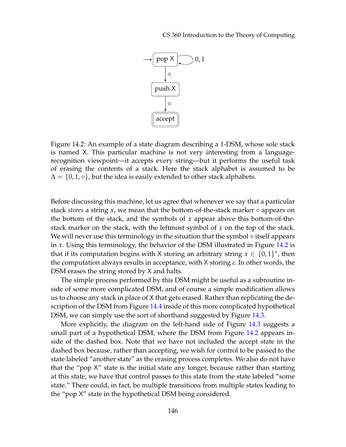

<span id="page-5-0"></span>Figure 14.2: An example of a state diagram describing a 1-DSM, whose sole stack is named X. This particular machine is not very interesting from a languagerecognition viewpoint—it accepts every string—but it performs the useful task of erasing the contents of a stack. Here the stack alphabet is assumed to be  $\Delta = \{0, 1, \diamond\}$ , but the idea is easily extended to other stack alphabets.

Before discussing this machine, let us agree that whenever we say that a particular stack *stores* a string  $x$ , we mean that the bottom-of-the-stack marker  $\diamond$  appears on the bottom of the stack, and the symbols of *x* appear above this bottom-of-thestack marker on the stack, with the leftmost symbol of *x* on the top of the stack. We will never use this terminology in the situation that the symbol  $\diamond$  itself appears in *x*. Using this terminology, the behavior of the DSM illustrated in Figure [14.2](#page-5-0) is that if its computation begins with X storing an arbitrary string  $x \in \{0,1\}^*$ , then the computation always results in acceptance, with X storing *ε*. In other words, the DSM erases the string stored by X and halts.

The simple process performed by this DSM might be useful as a subroutine inside of some more complicated DSM, and of course a simple modification allows us to choose any stack in place of X that gets erased. Rather than replicating the de-scription of the DSM from Figure [14.4](#page-7-0) inside of this more complicated hypothetical DSM, we can simply use the sort of shorthand suggested by Figure [14.3.](#page-6-0)

More explicitly, the diagram on the left-hand side of Figure [14.3](#page-6-0) suggests a small part of a hypothetical DSM, where the DSM from Figure [14.2](#page-5-0) appears inside of the dashed box. Note that we have not included the accept state in the dashed box because, rather than accepting, we wish for control to be passed to the state labeled "another state" as the erasing process completes. We also do not have that the "pop X" state is the initial state any longer, because rather than starting at this state, we have that control passes to this state from the state labeled "some state." There could, in fact, be multiple transitions from multiple states leading to the "pop X" state in the hypothetical DSM being considered.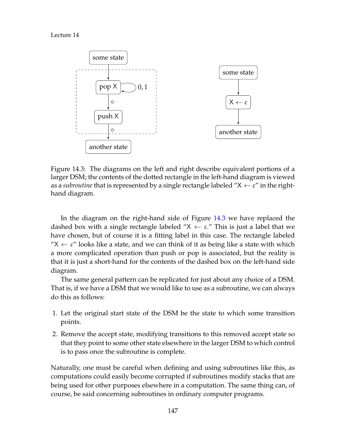

<span id="page-6-0"></span>Figure 14.3: The diagrams on the left and right describe equivalent portions of a larger DSM; the contents of the dotted rectangle in the left-hand diagram is viewed as a *subroutine* that is represented by a single rectangle labeled " $X \leftarrow \varepsilon$ " in the righthand diagram.

In the diagram on the right-hand side of Figure [14.3](#page-6-0) we have replaced the dashed box with a single rectangle labeled " $X \leftarrow \varepsilon$ ." This is just a label that we have chosen, but of course it is a fitting label in this case. The rectangle labeled " $X \leftarrow \varepsilon$ " looks like a state, and we can think of it as being like a state with which a more complicated operation than push or pop is associated, but the reality is that it is just a short-hand for the contents of the dashed box on the left-hand side diagram.

The same general pattern can be replicated for just about any choice of a DSM. That is, if we have a DSM that we would like to use as a subroutine, we can always do this as follows:

- 1. Let the original start state of the DSM be the state to which some transition points.
- 2. Remove the accept state, modifying transitions to this removed accept state so that they point to some other state elsewhere in the larger DSM to which control is to pass once the subroutine is complete.

Naturally, one must be careful when defining and using subroutines like this, as computations could easily become corrupted if subroutines modify stacks that are being used for other purposes elsewhere in a computation. The same thing can, of course, be said concerning subroutines in ordinary computer programs.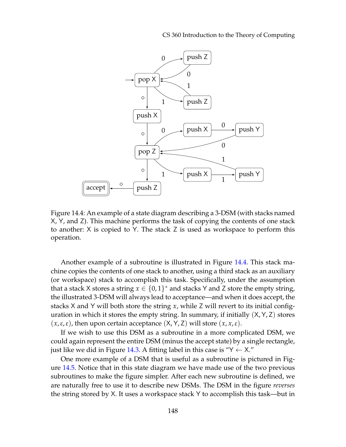CS 360 Introduction to the Theory of Computing



<span id="page-7-0"></span>Figure 14.4: An example of a state diagram describing a 3-DSM (with stacks named X, Y, and Z). This machine performs the task of copying the contents of one stack to another: X is copied to Y. The stack Z is used as workspace to perform this operation.

Another example of a subroutine is illustrated in Figure [14.4.](#page-7-0) This stack machine copies the contents of one stack to another, using a third stack as an auxiliary (or workspace) stack to accomplish this task. Specifically, under the assumption that a stack X stores a string  $x \in \{0,1\}^*$  and stacks Y and Z store the empty string, the illustrated 3-DSM will always lead to acceptance—and when it does accept, the stacks X and Y will both store the string *x*, while Z will revert to its initial configuration in which it stores the empty string. In summary, if initially  $(X, Y, Z)$  stores  $(x, \varepsilon, \varepsilon)$ , then upon certain acceptance  $(X, Y, Z)$  will store  $(x, x, \varepsilon)$ .

If we wish to use this DSM as a subroutine in a more complicated DSM, we could again represent the entire DSM (minus the accept state) by a single rectangle, just like we did in Figure [14.3.](#page-6-0) A fitting label in this case is " $Y \leftarrow X$ ."

One more example of a DSM that is useful as a subroutine is pictured in Figure [14.5.](#page-8-0) Notice that in this state diagram we have made use of the two previous subroutines to make the figure simpler. After each new subroutine is defined, we are naturally free to use it to describe new DSMs. The DSM in the figure *reverses* the string stored by X. It uses a workspace stack Y to accomplish this task—but in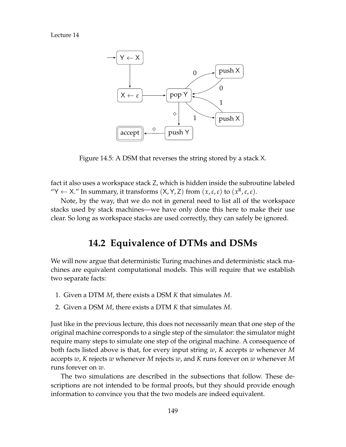Lecture 14



<span id="page-8-0"></span>Figure 14.5: A DSM that reverses the string stored by a stack X.

fact it also uses a workspace stack Z, which is hidden inside the subroutine labeled "Y  $\leftarrow$  X." In summary, it transforms  $(X, Y, Z)$  from  $(x, \varepsilon, \varepsilon)$  to  $(x^R, \varepsilon, \varepsilon)$ .

Note, by the way, that we do not in general need to list all of the workspace stacks used by stack machines—we have only done this here to make their use clear. So long as workspace stacks are used correctly, they can safely be ignored.

### **14.2 Equivalence of DTMs and DSMs**

We will now argue that deterministic Turing machines and deterministic stack machines are equivalent computational models. This will require that we establish two separate facts:

- 1. Given a DTM *M*, there exists a DSM *K* that simulates *M*.
- 2. Given a DSM *M*, there exists a DTM *K* that simulates *M*.

Just like in the previous lecture, this does not necessarily mean that one step of the original machine corresponds to a single step of the simulator: the simulator might require many steps to simulate one step of the original machine. A consequence of both facts listed above is that, for every input string *w*, *K* accepts *w* whenever *M* accepts *w*, *K* rejects *w* whenever *M* rejects *w*, and *K* runs forever on *w* whenever *M* runs forever on *w*.

The two simulations are described in the subsections that follow. These descriptions are not intended to be formal proofs, but they should provide enough information to convince you that the two models are indeed equivalent.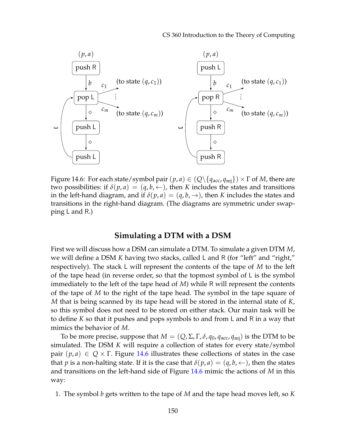

<span id="page-9-0"></span>Figure 14.6: For each state/symbol pair  $(p, a) \in (Q \setminus \{q_{\text{acc}}, q_{\text{rej}}\}) \times \Gamma$  of *M*, there are two possibilities: if  $\delta(p, a) = (q, b, \leftarrow)$ , then *K* includes the states and transitions in the left-hand diagram, and if  $\delta(p, a) = (q, b, \rightarrow)$ , then *K* includes the states and transitions in the right-hand diagram. (The diagrams are symmetric under swapping L and R.)

#### **Simulating a DTM with a DSM**

First we will discuss how a DSM can simulate a DTM. To simulate a given DTM *M*, we will define a DSM *K* having two stacks, called L and R (for "left" and "right," respectively). The stack L will represent the contents of the tape of *M* to the left of the tape head (in reverse order, so that the topmost symbol of L is the symbol immediately to the left of the tape head of *M*) while R will represent the contents of the tape of *M* to the right of the tape head. The symbol in the tape square of *M* that is being scanned by its tape head will be stored in the internal state of *K*, so this symbol does not need to be stored on either stack. Our main task will be to define *K* so that it pushes and pops symbols to and from L and R in a way that mimics the behavior of *M*.

To be more precise, suppose that  $M = (Q, \Sigma, \Gamma, \delta, q_0, q_{\text{acc}}, q_{\text{rej}})$  is the DTM to be simulated. The DSM *K* will require a collection of states for every state/symbol pair  $(p, a) \in Q \times \Gamma$ . Figure [14.6](#page-9-0) illustrates these collections of states in the case that *p* is a non-halting state. If it is the case that  $\delta(p, a) = (q, b, \leftarrow)$ , then the states and transitions on the left-hand side of Figure [14.6](#page-9-0) mimic the actions of *M* in this way:

1. The symbol *b* gets written to the tape of *M* and the tape head moves left, so *K*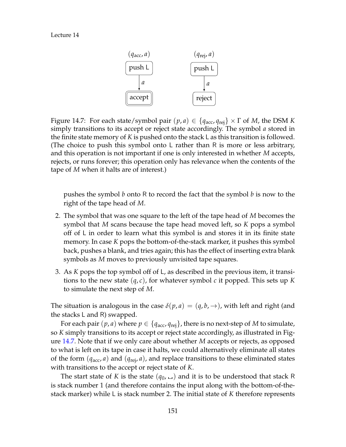

<span id="page-10-0"></span>Figure 14.7: For each state/symbol pair  $(p, a) \in \{q_{\text{acc}}, q_{\text{rei}}\} \times \Gamma$  of *M*, the DSM *K* simply transitions to its accept or reject state accordingly. The symbol *a* stored in the finite state memory of *K* is pushed onto the stack L as this transition is followed. (The choice to push this symbol onto L rather than R is more or less arbitrary, and this operation is not important if one is only interested in whether *M* accepts, rejects, or runs forever; this operation only has relevance when the contents of the tape of *M* when it halts are of interest.)

pushes the symbol *b* onto R to record the fact that the symbol *b* is now to the right of the tape head of *M*.

- 2. The symbol that was one square to the left of the tape head of *M* becomes the symbol that *M* scans because the tape head moved left, so *K* pops a symbol off of L in order to learn what this symbol is and stores it in its finite state memory. In case *K* pops the bottom-of-the-stack marker, it pushes this symbol back, pushes a blank, and tries again; this has the effect of inserting extra blank symbols as *M* moves to previously unvisited tape squares.
- 3. As *K* pops the top symbol off of L, as described in the previous item, it transitions to the new state (*q*, *c*), for whatever symbol *c* it popped. This sets up *K* to simulate the next step of *M*.

The situation is analogous in the case  $\delta(p, a) = (q, b, \rightarrow)$ , with left and right (and the stacks L and R) swapped.

For each pair  $(p, a)$  where  $p \in \{q_{\text{acc}}, q_{\text{rej}}\}$ , there is no next-step of *M* to simulate, so *K* simply transitions to its accept or reject state accordingly, as illustrated in Figure [14.7.](#page-10-0) Note that if we only care about whether *M* accepts or rejects, as opposed to what is left on its tape in case it halts, we could alternatively eliminate all states of the form  $(q_{\text{acc}}, a)$  and  $(q_{\text{rej}}, a)$ , and replace transitions to these eliminated states with transitions to the accept or reject state of *K*.

The start state of *K* is the state  $(q_0, \square)$  and it is to be understood that stack R is stack number 1 (and therefore contains the input along with the bottom-of-thestack marker) while L is stack number 2. The initial state of *K* therefore represents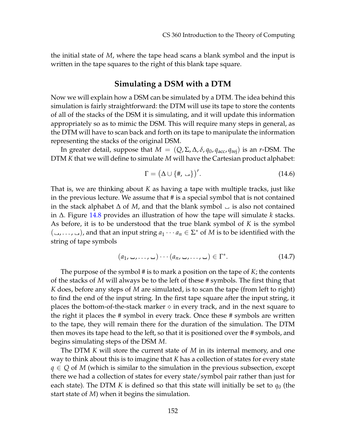the initial state of *M*, where the tape head scans a blank symbol and the input is written in the tape squares to the right of this blank tape square.

#### **Simulating a DSM with a DTM**

Now we will explain how a DSM can be simulated by a DTM. The idea behind this simulation is fairly straightforward: the DTM will use its tape to store the contents of all of the stacks of the DSM it is simulating, and it will update this information appropriately so as to mimic the DSM. This will require many steps in general, as the DTM will have to scan back and forth on its tape to manipulate the information representing the stacks of the original DSM.

In greater detail, suppose that  $M = (Q, \Sigma, \Delta, \delta, q_0, q_{\text{acc}}, q_{\text{rei}})$  is an *r*-DSM. The DTM *K* that we will define to simulate *M* will have the Cartesian product alphabet:

$$
\Gamma = \left(\Delta \cup \{\#,\sqcup\}\right)^r. \tag{14.6}
$$

That is, we are thinking about *K* as having a tape with multiple tracks, just like in the previous lecture. We assume that # is a special symbol that is not contained in the stack alphabet  $\Delta$  of M, and that the blank symbol  $\Delta$  is also not contained in ∆. Figure [14.8](#page-12-0) provides an illustration of how the tape will simulate *k* stacks. As before, it is to be understood that the true blank symbol of *K* is the symbol  $($ ..., ..., ...), and that an input string  $a_1 \cdots a_n \in \Sigma^*$  of *M* is to be identified with the string of tape symbols

$$
(a_1, \ldots, \ldots, \ldots) \cdots (a_n, \ldots, \ldots) \in \Gamma^*.
$$
 (14.7)

The purpose of the symbol # is to mark a position on the tape of *K*; the contents of the stacks of *M* will always be to the left of these # symbols. The first thing that *K* does, before any steps of *M* are simulated, is to scan the tape (from left to right) to find the end of the input string. In the first tape square after the input string, it places the bottom-of-the-stack marker  $\diamond$  in every track, and in the next square to the right it places the # symbol in every track. Once these # symbols are written to the tape, they will remain there for the duration of the simulation. The DTM then moves its tape head to the left, so that it is positioned over the # symbols, and begins simulating steps of the DSM *M*.

The DTM *K* will store the current state of *M* in its internal memory, and one way to think about this is to imagine that *K* has a collection of states for every state *q* ∈ *Q* of *M* (which is similar to the simulation in the previous subsection, except there we had a collection of states for every state/symbol pair rather than just for each state). The DTM K is defined so that this state will initially be set to  $q_0$  (the start state of *M*) when it begins the simulation.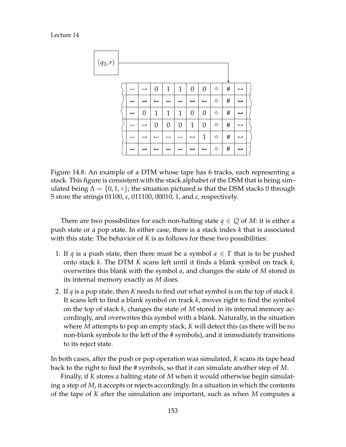Lecture 14



<span id="page-12-0"></span>Figure 14.8: An example of a DTM whose tape has 6 tracks, each representing a stack. This figure is consistent with the stack alphabet of the DSM that is being simulated being  $\Delta = \{0, 1, \diamond\}$ ; the situation pictured is that the DSM stacks 0 through 5 store the strings 01100, *ε*, 011100, 00010, 1, and *ε*, respectively.

There are two possibilities for each non-halting state  $q \in Q$  of *M*: it is either a push state or a pop state. In either case, there is a stack index *k* that is associated with this state. The behavior of *K* is as follows for these two possibilities:

- 1. If *q* is a push state, then there must be a symbol  $a \in \Gamma$  that is to be pushed onto stack *k*. The DTM *K* scans left until it finds a blank symbol on track *k*, overwrites this blank with the symbol *a*, and changes the state of *M* stored in its internal memory exactly as *M* does.
- 2. If *q* is a pop state, then *K* needs to find out what symbol is on the top of stack *k*. It scans left to find a blank symbol on track *k*, moves right to find the symbol on the top of stack *k*, changes the state of *M* stored in its internal memory accordingly, and overwrites this symbol with a blank. Naturally, in the situation where *M* attempts to pop an empty stack, *K* will detect this (as there will be no non-blank symbols to the left of the # symbols), and it immediately transitions to its reject state.

In both cases, after the push or pop operation was simulated, *K* scans its tape head back to the right to find the # symbols, so that it can simulate another step of *M*.

Finally, if *K* stores a halting state of *M* when it would otherwise begin simulating a step of *M*, it accepts or rejects accordingly. In a situation in which the contents of the tape of *K* after the simulation are important, such as when *M* computes a